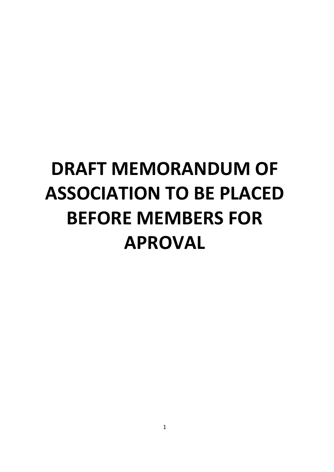# **DRAFT MEMORANDUM OF ASSOCIATION TO BE PLACED BEFORE MEMBERS FOR APROVAL**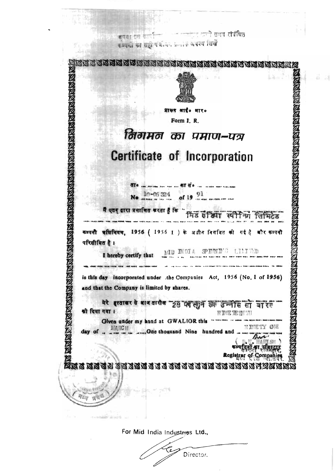तात करते समय संबंधित कपर्या रोग कम्पना का सही पर्यापा जन्मा ने अवस्थ लिखें RERPEREDERERER GEPRERERER **SEE CREE DE CREE DE LA DE LA DE LA DE LA DE LA DE LA DE LA DE LA DE LA DE LA DE LA DE LA DE LA DE LA DE LA DE** प्रास्त बार्ड: मार. Form I. R. निगमन का प्रमाण-पत्र **Certificate of Incorporation** 91  $06, 204$  $of 19$ मै एतद बारा प्रमाणित वरता है कि कम्पनी त्रधिनियम, 1956 ( 1956 1 ) के अधीन निगमित की गई है सीर कम्पनी परिसीमित है। MO NOIA SPEND'S LILITED I hereby certify that is this day incorporated under the Companies Act, 1956 (No. 1 of 1956) and that the Company is limited by shares. मेरे इस्ताबर से बाब तारीस 28 की लोजें और उन्नोस सा बारह को दिया गया। NDE BENIN Given under my hand at GWALIOR this MARCH ....One thousand Nine hundred and ... day of Registrar <u>r</u><br>Sas sa gu ta tang di tanggan ng tang For Mid India Industries Ltd.,

Director,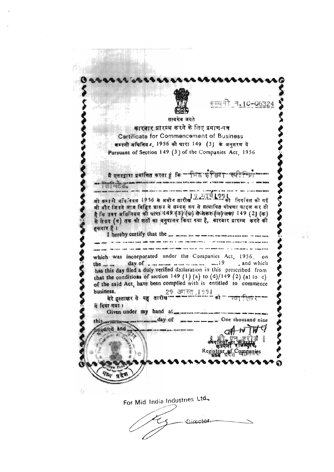कम्पनी न, 10-06324 सत्यमेव जयते कारवार प्रारम्भ करने के लिए प्रमाण-पत्र Cartificate for Commencement of Business कम्पनी अधिनियन, 1956 की धारा 149 (3) के अनुसरण में Pursuant of Section 149 (3) of the Companies Act 1956 मैं एतदद्वारा प्रमाणित करता हूं कि ""भिन्न इं स्थित रूपनि Contains जो कम्रानी अधिनियम 1956 के अधीन तारीख 2. मार्चे 1991 निर्गामत की गई ららる थी और जिनने आज विहिन प्रारूग में सम्यक् रूप से सत्यापित घोषणा फाइल कर दी है कि उत्तर अधिनियम की चारा 149 (1) (क) से लेकर (च) तक । 149 (2) (क) से ले हर (ग) तक की शर्तों का भनुपालन किया गया है, कारबार प्रारम्भ करने की हकदार हैं। I hereby certify that the ... \_.... ... which was incorporated under the Companies Act, 1956. on has this day filed a duly verified declaration in this prescribed from that the conditions of section 149 (1) (a) to  $(d)/149$  (2) (a) to c) of the said Act, have been complied with is entitled to commence 29 अगस्त 1991 business. मेरे हस्ताक्षर से यह तारीख \*\*\* में दिया गया। One thousand nine  $\ldots$   $\ldots$  day of this hundred and For Mid India Industries Ltd., Director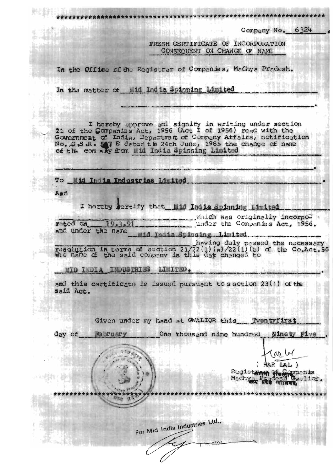Company No. 6324

FRESH CERTIFICATE OF INCORPORATION CONSEQUENT ON CHANGE OF NAME

In the Office of the Registrar of Companies, Machya Pradesh.

In the matter of sid India Spinning Limited

I hereby approve and signify in writing under section<br>21 of the Companies Act, 1956 (Act I of 1956) read with the Government of India, Department of Company Affairs, notification<br>No., G.S.R. 517 E dated the 24th June, 1985 the change of name<br>of the company from Mid India Spinning Limited

To Mid India Industries Limited.

And

I hereby sertify that 11d India Spinning Limited

which was originally incorpolity rated on 19.3.97 under the Companies Act, 1956. and under the name India Spinning Limited.

heving duly pessed the necessary<br>resolution in terms of section 21/22(1)(a)/22(1)(b) of the Co.Act.56<br>the name of the said company is this day changed to

MID INDIA INDUSTRIES LIMITED.

and this certificate is issued pursuant to section 23(1) of the said Act.

Given under my hand at GWALIOR this Twentyfirst

day of *February* One thousand nine hundred Ninety Five

as Let ( HAR LAL )

Rogistran of Companis<br>Machyar Fracel Gwalior.

For Mid India Industries Ltd.,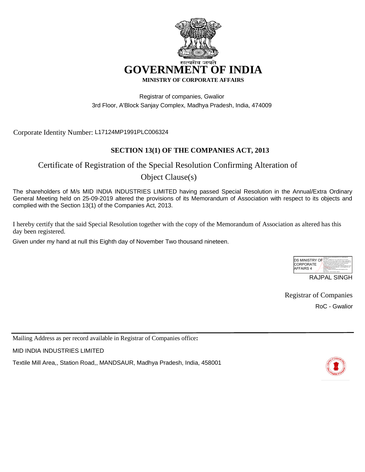

Registrar of companies, Gwalior 3rd Floor, A'Block Sanjay Complex, Madhya Pradesh, India, 474009

Corporate Identity Number: L17124MP1991PLC006324

#### **SECTION 13(1) OF THE COMPANIES ACT, 2013**

### Certificate of Registration of the Special Resolution Confirming Alteration of

#### Object Clause(s)

The shareholders of M/s MID INDIA INDUSTRIES LIMITED having passed Special Resolution in the Annual/Extra Ordinary General Meeting held on 25-09-2019 altered the provisions of its Memorandum of Association with respect to its objects and complied with the Section 13(1) of the Companies Act, 2013.

I hereby certify that the said Special Resolution together with the copy of the Memorandum of Association as altered has this day been registered.

Given under my hand at null this Eighth day of November Two thousand nineteen.

| IDS MINISTRY OF<br><b>ICORPORATE</b><br>AFFAIRS 4 | Dolphy signed by DS MINSTRY OF CORPORATE<br>AEGAIN'S A<br>DN: 4YBL 4YMINGTRY OF CORPORATE AFFAIRS.<br>our ROC WANTOR MP, co-salCo dent? 6209, striMADHYA<br>PRADESH, ASHAPIGMALIOR, 2.5.4.51 . REGISTERER OF<br>COMPANIES MP GWAI IOP 59/53 OCP A 91/5/9"<br>SANJAY COMPLEX JAYENDRA GWALIOR .<br>AMARINA HANDA TETA A TA FINASIA DA MAGAZINGAN TA TA<br>1275/hdd67b4bda67fcbfub388405.cn/OS MINISTRY OF<br>CORROR ATE AEEAIR S.A.<br>Reason: Latestin the accuracy and integrity of this<br><b><i><u>ANGLICA AT</u></i></b><br>Date: 2019.11.08 15:36:42 + 05301 |
|---------------------------------------------------|-------------------------------------------------------------------------------------------------------------------------------------------------------------------------------------------------------------------------------------------------------------------------------------------------------------------------------------------------------------------------------------------------------------------------------------------------------------------------------------------------------------------------------------------------------------------|
|                                                   |                                                                                                                                                                                                                                                                                                                                                                                                                                                                                                                                                                   |

RAJPAL SINGH

RoC - Gwalior Registrar of Companies

Mailing Address as per record available in Registrar of Companies office**:**

MID INDIA INDUSTRIES LIMITED

Textile Mill Area,, Station Road,, MANDSAUR, Madhya Pradesh, India, 458001

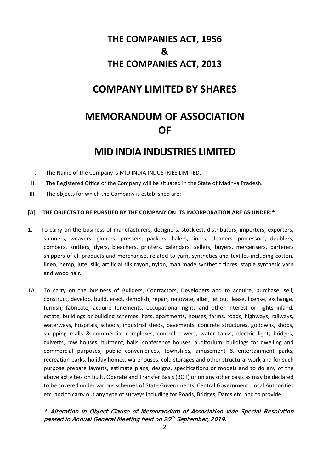# **THE COMPANIES ACT, 1956 & THE COMPANIES ACT, 2013**

## **COMPANY LIMITED BY SHARES**

# **MEMORANDUM OF ASSOCIATION OF**

## **MID INDIA INDUSTRIES LIMITED**

- I. The Name of the Company is MID INDIA INDUSTRIES LIMITED **.**
- II. The Registered Office of the Company will be situated in the State of Madhya Pradesh.
- III. The objects for which the Company is established are:

#### **[A] THE OBJECTS TO BE PURSUED BY THE COMPANY ON ITS INCORPORATION ARE AS UNDER:\***

- 1.To carry on the business of manufacturers, designers, stockiest, distributors, importers, exporters, spinners, weavers, ginners, pressers, packers, balers, liners, cleaners, processors, deublers, combers, knitters, dyers, bleachers, printers, calendars, sellers, buyers, mercerisers, barterers shippers of all products and merchanise, related to yarn, synthetics and textiles including cotton, linen, hemp, jute, silk, artificial silk rayon, nylon, man made synthetic fibres, staple synthetic yarn and wood hair**.**
- 1A. To carry on the business of Builders, Contractors, Developers and to acquire, purchase, sell, construct, develop, build, erect, demolish, repair, renovate, alter, let out, lease, license, exchange, furnish, fabricate, acquire tenements, occupational rights and other interest or rights inland, estate, buildings or building schemes, flats, apartments, houses, farms, roads, highways, railways, waterways, hospitals, schools, industrial sheds, pavements, concrete structures, godowns, shops, shopping malls & commercial complexes, control towers, water tanks, electric light, bridges, culverts, row houses, hutment, halls, conference houses, auditorium, buildings for dwelling and commercial purposes, public conveniences, townships, amusement & entertainment parks, recreation parks, holiday homes, warehouses, cold storages and other structural work and for such purpose prepare layouts, estimate plans, designs, specifications or models and to do any of the above activities on built, Operate and Transfer Basis (BOT) or on any other basis as may be declared to be covered under various schemes of State Governments, Central Government, Local Authorities etc. and to carry out any type of surveys including for Roads, Bridges, Dams etc. and to provide

#### \* Alteration in Object Clause of Memorandum of Association vide Special Resolution passed in Annual General Meeting held on 25<sup>th</sup> September, 2019.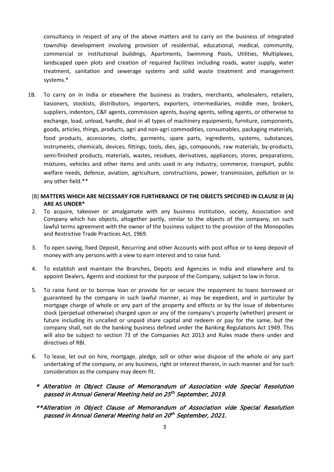consultancy in respect of any of the above matters and to carry on the business of integrated township development involving provision of residential, educational, medical, community, commercial or institutional buildings, Apartments, Swimming Pools, Utilities, Multiplexes, landscaped open plots and creation of required facilities including roads, water supply, water treatment, sanitation and sewerage systems and solid waste treatment and management systems.\*

- 1B. To carry on in India or elsewhere the business as traders, merchants, wholesalers, retailers, liasioners, stockists, distributors, importers, exporters, intermediaries, middle men, brokers, suppliers, indentors, C&F agents, commission agents, buying agents, selling agents, or otherwise to exchange, load, unload, handle, deal in all types of machinery equipments, furniture, components, goods, articles, things, products, agri and non-agri commodities, consumables, packaging materials, food products, accessories, cloths, garments, spare parts, ingredients, systems, substances, instruments, chemicals, devices, fittings, tools, dies, jigs, compounds, raw materials, by-products, semi-finished products, materials, wastes, residues, derivatives, appliances, stores, preparations, mixtures, vehicles and other items and units used in any industry, commerce, transport, public welfare needs, defence, aviation, agriculture, constructions, power, transmission, pollution or in any other field.\*\*
- [B] **MATTERS WHICH ARE NECESSARY FOR FURTHERANCE OF THE OBJECTS SPECIFIED IN CLAUSE III (A) ARE AS UNDER\***
- 2. To acquire, takeover or amalgamate with any business institution, society, Association and Company which has objects, altogether partly, similar to the objects of the company, on such lawful terms agreement with the owner of the business subject to the provision of the Monopolies and Restrictive Trade Practices Act, 1969.
- 3. To open saving, fixed Deposit, Recurring and other Accounts with post office or to keep deposit of money with any persons with a view to earn interest and to raise fund.
- 4. To establish and maintain the Branches, Depots and Agencies in India and elsewhere and to appoint Dealers, Agents and stockiest for the purpose of the Company, subject to law in force.
- 5. To raise fund or to borrow loan or provide for or secure the repayment to loans borrowed or guaranteed by the company in such lawful manner, as may be expedient, and in particular by mortgage charge of whole or any part of the property and effects or by the issue of debentures stock (perpetual otherwise) charged upon or any of the company's property (whether) present or future including its uncalled or unpaid share capital and redeem or pay for the same, but the company shall, not do the banking business defined under the Banking Regulations Act 1949. This will also be subject to section 73 of the Companies Act 2013 and Rules made there under and directives of RBI.
- 6. To lease, let out on hire, mortgage, pledge, sell or other wise dispose of the whole or any part undertaking of the company, or any business, right or interest therein, in such manner and for such consideration as the company may deem fit.
	- \* Alteration in Object Clause of Memorandum of Association vide Special Resolution passed in Annual General Meeting held on 25<sup>th</sup> September, 2019.
	- \*\*Alteration in Object Clause of Memorandum of Association vide Special Resolution passed in Annual General Meeting held on 20<sup>th</sup> September, 2021.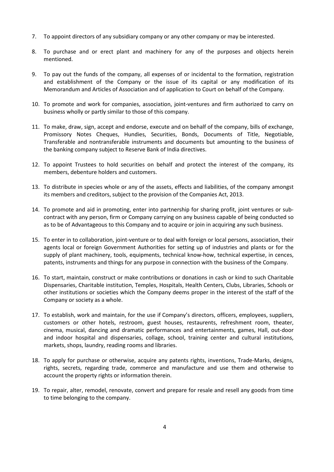- 7. To appoint directors of any subsidiary company or any other company or may be interested.
- 8. To purchase and or erect plant and machinery for any of the purposes and objects herein mentioned.
- 9. To pay out the funds of the company, all expenses of or incidental to the formation, registration and establishment of the Company or the issue of its capital or any modification of its Memorandum and Articles of Association and of application to Court on behalf of the Company.
- 10. To promote and work for companies, association, joint-ventures and firm authorized to carry on business wholly or partly similar to those of this company.
- 11. To make, draw, sign, accept and endorse, execute and on behalf of the company, bills of exchange, Promissory Notes Cheques, Hundies, Securities, Bonds, Documents of Title, Negotiable, Transferable and nontransferable instruments and documents but amounting to the business of the banking company subject to Reserve Bank of India directives.
- 12. To appoint Trustees to hold securities on behalf and protect the interest of the company, its members, debenture holders and customers.
- 13. To distribute in species whole or any of the assets, effects and liabilities, of the company amongst its members and creditors, subject to the provision of the Companies Act, 2013.
- 14. To promote and aid in promoting, enter into partnership for sharing profit, joint ventures or subcontract with any person, firm or Company carrying on any business capable of being conducted so as to be of Advantageous to this Company and to acquire or join in acquiring any such business.
- 15. To enter in to collaboration, joint-venture or to deal with foreign or local persons, association, their agents local or foreign Government Authorities for setting up of industries and plants or for the supply of plant machinery, tools, equipments, technical know-how, technical expertise, in cences, patents, instruments and things for any purpose in connection with the business of the Company.
- 16. To start, maintain, construct or make contributions or donations in cash or kind to such Charitable Dispensaries, Charitable institution, Temples, Hospitals, Health Centers, Clubs, Libraries, Schools or other institutions or societies which the Company deems proper in the interest of the staff of the Company or society as a whole.
- 17. To establish, work and maintain, for the use if Company's directors, officers, employees, suppliers, customers or other hotels, restroom, guest houses, restaurents, refreshment room, theater, cinema, musical, dancing and dramatic performances and entertainments, games, Hall, out-door and indoor hospital and dispensaries, collage, school, training center and cultural institutions, markets, shops, laundry, reading rooms and libraries.
- 18. To apply for purchase or otherwise, acquire any patents rights, inventions, Trade-Marks, designs, rights, secrets, regarding trade, commerce and manufacture and use them and otherwise to account the property rights or information therein.
- 19. To repair, alter, remodel, renovate, convert and prepare for resale and resell any goods from time to time belonging to the company.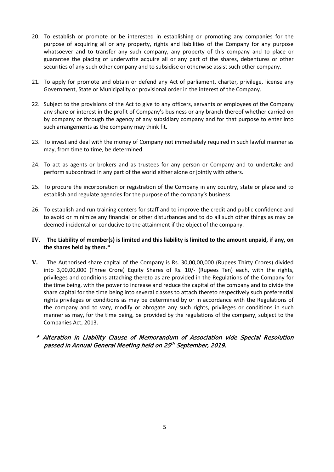- 20. To establish or promote or be interested in establishing or promoting any companies for the purpose of acquiring all or any property, rights and liabilities of the Company for any purpose whatsoever and to transfer any such company, any property of this company and to place or guarantee the placing of underwrite acquire all or any part of the shares, debentures or other securities of any such other company and to subsidise or otherwise assist such other company.
- 21. To apply for promote and obtain or defend any Act of parliament, charter, privilege, license any Government, State or Municipality or provisional order in the interest of the Company.
- 22. Subject to the provisions of the Act to give to any officers, servants or employees of the Company any share or interest in the profit of Company's business or any branch thereof whether carried on by company or through the agency of any subsidiary company and for that purpose to enter into such arrangements as the company may think fit.
- 23. To invest and deal with the money of Company not immediately required in such lawful manner as may, from time to time, be determined.
- 24. To act as agents or brokers and as trustees for any person or Company and to undertake and perform subcontract in any part of the world either alone or jointly with others.
- 25. To procure the incorporation or registration of the Company in any country, state or place and to establish and regulate agencies for the purpose of the company's business.
- 26. To establish and run training centers for staff and to improve the credit and public confidence and to avoid or minimize any financial or other disturbances and to do all such other things as may be deemed incidental or conducive to the attainment if the object of the company.
- **IV. The Liability of member(s) is limited and this liability is limited to the amount unpaid, if any, on the shares held by them.\***
- **V.** The Authorised share capital of the Company is Rs. 30,00,00,000 (Rupees Thirty Crores) divided into 3,00,00,000 (Three Crore) Equity Shares of Rs. 10/- (Rupees Ten) each, with the rights, privileges and conditions attaching thereto as are provided in the Regulations of the Company for the time being, with the power to increase and reduce the capital of the company and to divide the share capital for the time being into several classes to attach thereto respectively such preferential rights privileges or conditions as may be determined by or in accordance with the Regulations of the company and to vary, modify or abrogate any such rights, privileges or conditions in such manner as may, for the time being, be provided by the regulations of the company, subject to the Companies Act, 2013.
	- \* Alteration in Liability Clause of Memorandum of Association vide Special Resolution passed in Annual General Meeting held on 25<sup>th</sup> September, 2019.